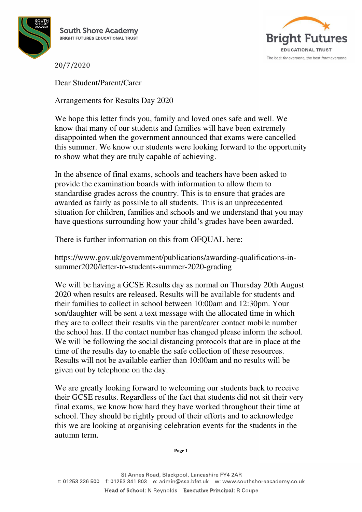



20/7/2020

Dear Student/Parent/Carer

Arrangements for Results Day 2020

We hope this letter finds you, family and loved ones safe and well. We know that many of our students and families will have been extremely disappointed when the government announced that exams were cancelled this summer. We know our students were looking forward to the opportunity to show what they are truly capable of achieving.

In the absence of final exams, schools and teachers have been asked to provide the examination boards with information to allow them to standardise grades across the country. This is to ensure that grades are awarded as fairly as possible to all students. This is an unprecedented situation for children, families and schools and we understand that you may have questions surrounding how your child's grades have been awarded.

There is further information on this from OFQUAL here:

https://www.gov.uk/government/publications/awarding-qualifications-insummer2020/letter-to-students-summer-2020-grading

We will be having a GCSE Results day as normal on Thursday 20th August 2020 when results are released. Results will be available for students and their families to collect in school between 10:00am and 12:30pm. Your son/daughter will be sent a text message with the allocated time in which they are to collect their results via the parent/carer contact mobile number the school has. If the contact number has changed please inform the school. We will be following the social distancing protocols that are in place at the time of the results day to enable the safe collection of these resources. Results will not be available earlier than 10:00am and no results will be given out by telephone on the day.

We are greatly looking forward to welcoming our students back to receive their GCSE results. Regardless of the fact that students did not sit their very final exams, we know how hard they have worked throughout their time at school. They should be rightly proud of their efforts and to acknowledge this we are looking at organising celebration events for the students in the autumn term.

**Page 1**